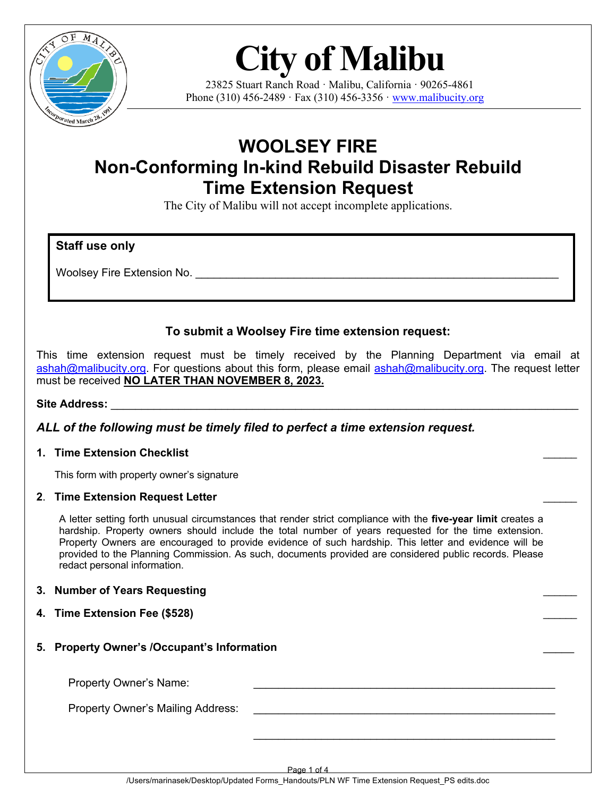

# **City of Malibu**

23825 Stuart Ranch Road · Malibu, California · 90265-4861 Phone (310) 456-2489 · Fax (310) 456-3356 · [www.malibucity.org](http://www.malibucity.org/)

# **WOOLSEY FIRE Non-Conforming In-kind Rebuild Disaster Rebuild Time Extension Request**

The City of Malibu will not accept incomplete applications.

### **Staff use only**

Woolsey Fire Extension No.

## **To submit a Woolsey Fire time extension request:**

This time extension request must be timely received by the Planning Department via email at [ashah@malibucity.org](mailto:ashah@malibucity.org). For questions about this form, please email ashah@malibucity.org. The request letter must be received **NO LATER THAN NOVEMBER 8, 2023.**

#### Site Address:

#### *ALL of the following must be timely filed to perfect a time extension request.*

#### **1. Time Extension Checklist** \_\_\_\_\_\_

This form with property owner's signature

#### **2**. **Time Extension Request Letter** \_\_\_\_\_\_

A letter setting forth unusual circumstances that render strict compliance with the **five-year limit** creates a hardship. Property owners should include the total number of years requested for the time extension. Property Owners are encouraged to provide evidence of such hardship. This letter and evidence will be provided to the Planning Commission. As such, documents provided are considered public records. Please redact personal information.

#### **3. Number of Years Requesting** \_\_\_\_\_\_

- **4. Time Extension Fee (\$528)** \_\_\_\_\_\_
- **5. Property Owner's /Occupant's Information** \_\_\_\_\_

Property Owner's Name:

Property Owner's Mailing Address:

Page 1 of 4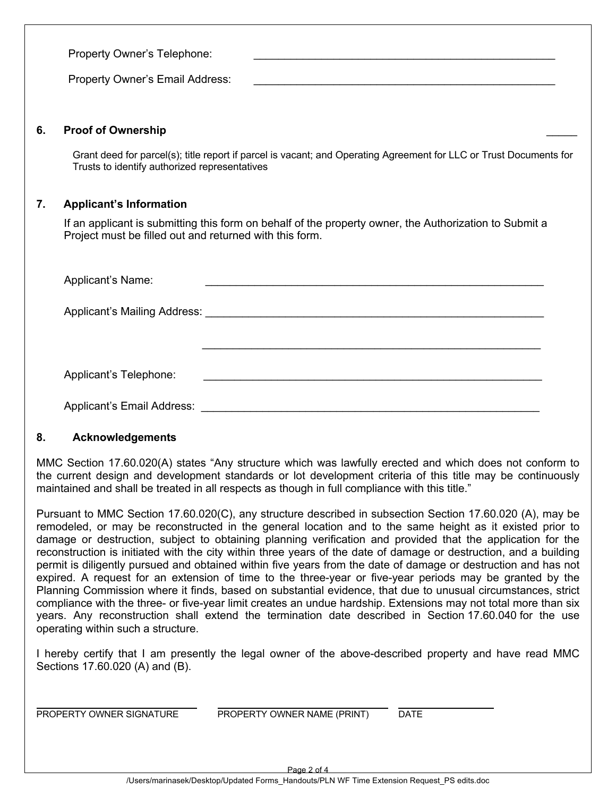Property Owner's Telephone: Property Owner's Email Address: **6. Proof of Ownership** \_\_\_\_\_ Grant deed for parcel(s); title report if parcel is vacant; and Operating Agreement for LLC or Trust Documents for Trusts to identify authorized representatives **7. Applicant's Information** If an applicant is submitting this form on behalf of the property owner, the Authorization to Submit a Project must be filled out and returned with this form. Applicant's Name:

Applicant's Mailing Address: \_\_\_\_\_\_\_\_\_\_\_\_\_\_\_\_\_\_\_\_\_\_\_\_\_\_\_\_\_\_\_\_\_\_\_\_\_\_\_\_\_\_\_\_\_\_\_\_\_\_\_\_\_\_\_

| Applicant's Telephone: |  |
|------------------------|--|
|                        |  |

 $\mathcal{L}_\text{max} = \frac{1}{2} \sum_{i=1}^n \frac{1}{2} \sum_{i=1}^n \frac{1}{2} \sum_{i=1}^n \frac{1}{2} \sum_{i=1}^n \frac{1}{2} \sum_{i=1}^n \frac{1}{2} \sum_{i=1}^n \frac{1}{2} \sum_{i=1}^n \frac{1}{2} \sum_{i=1}^n \frac{1}{2} \sum_{i=1}^n \frac{1}{2} \sum_{i=1}^n \frac{1}{2} \sum_{i=1}^n \frac{1}{2} \sum_{i=1}^n \frac{1}{2} \sum_{i=1}^n$ 

Applicant's Email Address: \_\_\_\_\_\_\_\_\_\_\_\_\_\_\_\_\_\_\_\_\_\_\_\_\_\_\_\_\_\_\_\_\_\_\_\_\_\_\_\_\_\_\_\_\_\_\_\_\_\_\_\_\_\_\_

#### **8. Acknowledgements**

MMC Section 17.60.020(A) states "Any structure which was lawfully erected and which does not conform to the current design and development standards or lot development criteria of this title may be continuously maintained and shall be treated in all respects as though in full compliance with this title."

Pursuant to MMC Section 17.60.020(C), any structure described in subsection Section 17.60.020 (A), may be remodeled, or may be reconstructed in the general location and to the same height as it existed prior to damage or destruction, subject to obtaining planning verification and provided that the application for the reconstruction is initiated with the city within three years of the date of damage or destruction, and a building permit is diligently pursued and obtained within five years from the date of damage or destruction and has not expired. A request for an extension of time to the three-year or five-year periods may be granted by the Planning Commission where it finds, based on substantial evidence, that due to unusual circumstances, strict compliance with the three- or five-year limit creates an undue hardship. Extensions may not total more than six years. Any reconstruction shall extend the termination date described in Section 17.60.040 for the use operating within such a structure.

I hereby certify that I am presently the legal owner of the above-described property and have read MMC Sections 17.60.020 (A) and (B).

PROPERTY OWNER SIGNATURE PROPERTY OWNER NAME (PRINT) DATE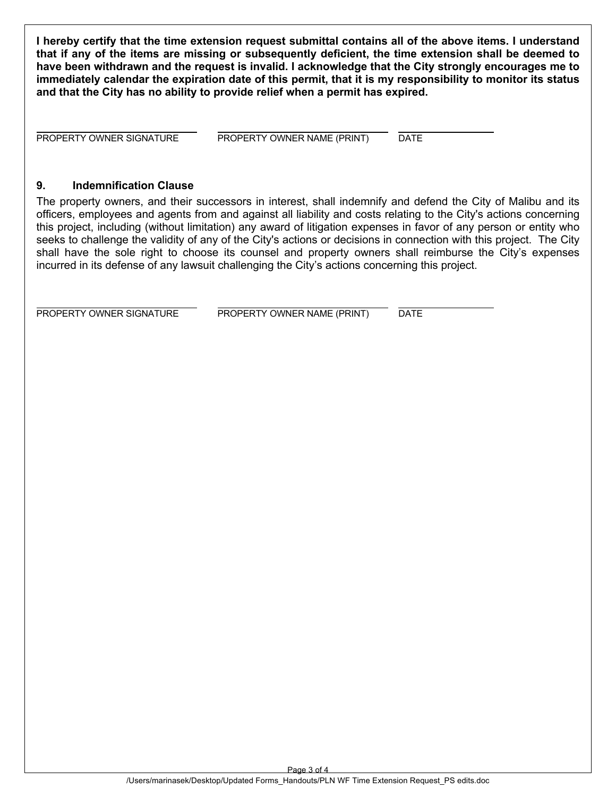**I hereby certify that the time extension request submittal contains all of the above items. I understand that if any of the items are missing or subsequently deficient, the time extension shall be deemed to have been withdrawn and the request is invalid. I acknowledge that the City strongly encourages me to immediately calendar the expiration date of this permit, that it is my responsibility to monitor its status and that the City has no ability to provide relief when a permit has expired.**

PROPERTY OWNER SIGNATURE PROPERTY OWNER NAME (PRINT) DATE

#### **9. Indemnification Clause**

The property owners, and their successors in interest, shall indemnify and defend the City of Malibu and its officers, employees and agents from and against all liability and costs relating to the City's actions concerning this project, including (without limitation) any award of litigation expenses in favor of any person or entity who seeks to challenge the validity of any of the City's actions or decisions in connection with this project. The City shall have the sole right to choose its counsel and property owners shall reimburse the City's expenses incurred in its defense of any lawsuit challenging the City's actions concerning this project.

PROPERTY OWNER SIGNATURE PROPERTY OWNER NAME (PRINT) DATE